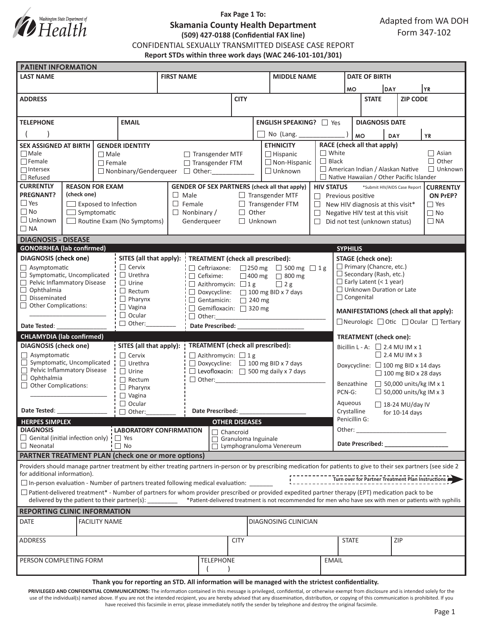

# **Fax Page 1 To: Skamania County Health Department (509) 427-0188 (Confidential FAX line)**

CONFIDENTIAL SEXUALLY TRANSMITTED DISEASE CASE REPORT

**Report STDs within three work days (WAC 246-101-101/301)**

| <b>PATIENT INFORMATION</b>                                                                                                                                                                                                    |                                                                                                                                                                                                                                                                                                                                                                                                                                  |               |                                                  |                                                                     |                                                       |                         |                                                                                |                                                    |                                                             |                                                                                                                                                                                                                                |                                        |                 |           |                |  |  |
|-------------------------------------------------------------------------------------------------------------------------------------------------------------------------------------------------------------------------------|----------------------------------------------------------------------------------------------------------------------------------------------------------------------------------------------------------------------------------------------------------------------------------------------------------------------------------------------------------------------------------------------------------------------------------|---------------|--------------------------------------------------|---------------------------------------------------------------------|-------------------------------------------------------|-------------------------|--------------------------------------------------------------------------------|----------------------------------------------------|-------------------------------------------------------------|--------------------------------------------------------------------------------------------------------------------------------------------------------------------------------------------------------------------------------|----------------------------------------|-----------------|-----------|----------------|--|--|
| <b>LAST NAME</b>                                                                                                                                                                                                              |                                                                                                                                                                                                                                                                                                                                                                                                                                  |               |                                                  | <b>FIRST NAME</b>                                                   |                                                       |                         |                                                                                | <b>MIDDLE NAME</b>                                 |                                                             |                                                                                                                                                                                                                                | <b>DATE OF BIRTH</b>                   |                 |           |                |  |  |
|                                                                                                                                                                                                                               |                                                                                                                                                                                                                                                                                                                                                                                                                                  |               |                                                  |                                                                     |                                                       |                         |                                                                                |                                                    |                                                             |                                                                                                                                                                                                                                | DAY<br><b>MO</b>                       |                 | YR        |                |  |  |
| <b>ADDRESS</b>                                                                                                                                                                                                                |                                                                                                                                                                                                                                                                                                                                                                                                                                  |               |                                                  |                                                                     | <b>CITY</b>                                           |                         |                                                                                |                                                    |                                                             | <b>STATE</b>                                                                                                                                                                                                                   |                                        | <b>ZIP CODE</b> |           |                |  |  |
|                                                                                                                                                                                                                               |                                                                                                                                                                                                                                                                                                                                                                                                                                  |               |                                                  |                                                                     |                                                       |                         |                                                                                |                                                    |                                                             |                                                                                                                                                                                                                                |                                        |                 |           |                |  |  |
| <b>TELEPHONE</b><br><b>EMAIL</b>                                                                                                                                                                                              |                                                                                                                                                                                                                                                                                                                                                                                                                                  |               |                                                  |                                                                     |                                                       | ENGLISH SPEAKING?   Yes |                                                                                |                                                    |                                                             |                                                                                                                                                                                                                                | <b>DIAGNOSIS DATE</b>                  |                 |           |                |  |  |
|                                                                                                                                                                                                                               |                                                                                                                                                                                                                                                                                                                                                                                                                                  |               |                                                  |                                                                     |                                                       |                         | No (Lang. _____                                                                |                                                    |                                                             | <b>MO</b><br><b>YR</b><br>DAY                                                                                                                                                                                                  |                                        |                 |           |                |  |  |
| <b>SEX ASSIGNED AT BIRTH</b><br><b>GENDER IDENTITY</b>                                                                                                                                                                        |                                                                                                                                                                                                                                                                                                                                                                                                                                  |               |                                                  |                                                                     |                                                       |                         | <b>ETHNICITY</b>                                                               |                                                    |                                                             | RACE (check all that apply)                                                                                                                                                                                                    |                                        |                 |           |                |  |  |
| $\Box$ Male                                                                                                                                                                                                                   |                                                                                                                                                                                                                                                                                                                                                                                                                                  | $\Box$ Male   |                                                  |                                                                     | $\Box$ Transgender MTF<br>$\Box$ Hispanic             |                         |                                                                                | $\Box$ White                                       | $\Box$ Asian                                                |                                                                                                                                                                                                                                |                                        |                 |           |                |  |  |
| $\Box$ Female                                                                                                                                                                                                                 |                                                                                                                                                                                                                                                                                                                                                                                                                                  | $\Box$ Female |                                                  |                                                                     | □ Transgender FTM                                     |                         |                                                                                | $\Box$ Non-Hispanic                                | $\Box$ Black                                                |                                                                                                                                                                                                                                |                                        |                 |           | $\Box$ Other   |  |  |
| $\Box$ Intersex                                                                                                                                                                                                               |                                                                                                                                                                                                                                                                                                                                                                                                                                  |               |                                                  | $\Box$ Nonbinary/Genderqueer $\Box$ Other:                          |                                                       |                         |                                                                                | American Indian / Alaskan Native<br>$\Box$ Unknown |                                                             |                                                                                                                                                                                                                                |                                        |                 |           | $\Box$ Unknown |  |  |
| $\Box$ Refused<br><b>CURRENTLY</b><br><b>REASON FOR EXAM</b>                                                                                                                                                                  |                                                                                                                                                                                                                                                                                                                                                                                                                                  |               |                                                  |                                                                     |                                                       |                         |                                                                                | $\Box$ Native Hawaiian / Other Pacific Islander    |                                                             |                                                                                                                                                                                                                                |                                        |                 |           |                |  |  |
| <b>PREGNANT?</b><br>(check one)                                                                                                                                                                                               |                                                                                                                                                                                                                                                                                                                                                                                                                                  |               |                                                  | $\Box$ Male                                                         |                                                       |                         | <b>GENDER OF SEX PARTNERS (check all that apply)</b><br>$\Box$ Transgender MTF |                                                    |                                                             | <b>HIV STATUS</b><br>*Submit HIV/AIDS Case Report<br><b>CURRENTLY</b><br>ON PrEP?<br>$\Box$ Previous positive                                                                                                                  |                                        |                 |           |                |  |  |
| $\Box$ Yes                                                                                                                                                                                                                    | $\Box$ Exposed to Infection                                                                                                                                                                                                                                                                                                                                                                                                      |               |                                                  | $\Box$ Female                                                       |                                                       |                         | $\Box$ Transgender FTM                                                         |                                                    |                                                             | $\Box$ Yes<br>$\Box$ New HIV diagnosis at this visit*                                                                                                                                                                          |                                        |                 |           |                |  |  |
| $\Box$ No<br>$\Box$ Symptomatic                                                                                                                                                                                               |                                                                                                                                                                                                                                                                                                                                                                                                                                  |               |                                                  | $\Box$ Nonbinary /                                                  | Other<br>$\Box$                                       |                         |                                                                                | $\Box$                                             | $\Box$ No<br>Negative HIV test at this visit                |                                                                                                                                                                                                                                |                                        |                 |           |                |  |  |
| $\Box$ Unknown                                                                                                                                                                                                                |                                                                                                                                                                                                                                                                                                                                                                                                                                  |               | Routine Exam (No Symptoms)                       |                                                                     | Genderqueer                                           | $\Box$ Unknown          |                                                                                |                                                    | $\Box$ Did not test (unknown status)                        |                                                                                                                                                                                                                                |                                        |                 | $\Box$ NA |                |  |  |
| $\Box$ NA                                                                                                                                                                                                                     |                                                                                                                                                                                                                                                                                                                                                                                                                                  |               |                                                  |                                                                     |                                                       |                         |                                                                                |                                                    |                                                             |                                                                                                                                                                                                                                |                                        |                 |           |                |  |  |
| <b>DIAGNOSIS - DISEASE</b>                                                                                                                                                                                                    |                                                                                                                                                                                                                                                                                                                                                                                                                                  |               |                                                  |                                                                     |                                                       |                         |                                                                                |                                                    |                                                             |                                                                                                                                                                                                                                |                                        |                 |           |                |  |  |
| <b>GONORRHEA</b> (lab confirmed)                                                                                                                                                                                              |                                                                                                                                                                                                                                                                                                                                                                                                                                  |               |                                                  |                                                                     |                                                       |                         |                                                                                |                                                    |                                                             | <b>SYPHILIS</b>                                                                                                                                                                                                                |                                        |                 |           |                |  |  |
| <b>DIAGNOSIS</b> (check one)                                                                                                                                                                                                  |                                                                                                                                                                                                                                                                                                                                                                                                                                  |               | $\Box$ Cervix                                    | SITES (all that apply):<br><b>TREATMENT</b> (check all prescribed): |                                                       |                         |                                                                                |                                                    | <b>STAGE</b> (check one):<br>$\Box$ Primary (Chancre, etc.) |                                                                                                                                                                                                                                |                                        |                 |           |                |  |  |
| $\Box$ Asymptomatic<br>$\Box$ Symptomatic, Uncomplicated                                                                                                                                                                      |                                                                                                                                                                                                                                                                                                                                                                                                                                  |               | $\Box$ Urethra                                   | $\Box$ Ceftriaxone:<br>$\Box$ Cefixime:                             | □ 250 mg □ 500 mg □ 1g<br>$\Box$ 400 mg $\Box$ 800 mg |                         |                                                                                |                                                    |                                                             | $\Box$ Secondary (Rash, etc.)                                                                                                                                                                                                  |                                        |                 |           |                |  |  |
| Pelvic Inflammatory Disease                                                                                                                                                                                                   |                                                                                                                                                                                                                                                                                                                                                                                                                                  |               | $\Box$ Urine                                     | $\Box$ Azithromycin: $\Box$ 1 g<br>$\Box$ 2 g                       |                                                       |                         |                                                                                |                                                    |                                                             | $\Box$ Early Latent (< 1 year)                                                                                                                                                                                                 |                                        |                 |           |                |  |  |
| $\Box$ Ophthalmia                                                                                                                                                                                                             |                                                                                                                                                                                                                                                                                                                                                                                                                                  |               | $\Box$ Rectum                                    | $\Box$ Doxycycline: $\Box$ 100 mg BID x 7 days                      |                                                       |                         |                                                                                |                                                    |                                                             |                                                                                                                                                                                                                                | $\Box$ Unknown Duration or Late        |                 |           |                |  |  |
| $\Box$ Disseminated<br>$\Box$ Other Complications:                                                                                                                                                                            |                                                                                                                                                                                                                                                                                                                                                                                                                                  |               | $\Box$ Pharynx                                   | $\Box$ Gentamicin: $\Box$ 240 mg                                    |                                                       |                         |                                                                                |                                                    |                                                             | $\Box$ Congenital                                                                                                                                                                                                              |                                        |                 |           |                |  |  |
|                                                                                                                                                                                                                               |                                                                                                                                                                                                                                                                                                                                                                                                                                  |               | $\Box$ Vagina<br>$\Box$ Ocular                   | Gemifloxacin: 320 mg<br>$\Box$ Other:                               |                                                       |                         |                                                                                |                                                    |                                                             |                                                                                                                                                                                                                                | MANIFESTATIONS (check all that apply): |                 |           |                |  |  |
| Date Tested:                                                                                                                                                                                                                  |                                                                                                                                                                                                                                                                                                                                                                                                                                  |               | $\Box$ Other:                                    | Date Prescribed: National Prescribed:                               |                                                       |                         |                                                                                |                                                    |                                                             | □ Neurologic □ Otic □ Ocular □ Tertiary                                                                                                                                                                                        |                                        |                 |           |                |  |  |
| <b>CHLAMYDIA</b> (lab confirmed)                                                                                                                                                                                              |                                                                                                                                                                                                                                                                                                                                                                                                                                  |               |                                                  |                                                                     |                                                       |                         |                                                                                |                                                    |                                                             |                                                                                                                                                                                                                                |                                        |                 |           |                |  |  |
| <b>DIAGNOSIS</b> (check one)                                                                                                                                                                                                  |                                                                                                                                                                                                                                                                                                                                                                                                                                  |               | SITES (all that apply):                          | <b>TREATMENT</b> (check all prescribed):                            |                                                       |                         |                                                                                |                                                    |                                                             | <b>TREATMENT</b> (check one):<br>Bicillin L - A: $\Box$ 2.4 MU IM x 1                                                                                                                                                          |                                        |                 |           |                |  |  |
| $\Box$ Asymptomatic                                                                                                                                                                                                           |                                                                                                                                                                                                                                                                                                                                                                                                                                  |               | $\Box$ Cervix<br>$\Box$ Azithromycin: $\Box$ 1 g |                                                                     |                                                       |                         |                                                                                |                                                    |                                                             | $\Box$ 2.4 MU IM x 3                                                                                                                                                                                                           |                                        |                 |           |                |  |  |
| $\Box$ Symptomatic, Uncomplicated                                                                                                                                                                                             |                                                                                                                                                                                                                                                                                                                                                                                                                                  |               | $\Box$ Urethra                                   |                                                                     | $\Box$ Doxycycline: $\Box$ 100 mg BID x 7 days        |                         |                                                                                |                                                    | Doxycycline: $\Box$ 100 mg BID x 14 days                    |                                                                                                                                                                                                                                |                                        |                 |           |                |  |  |
| Pelvic Inflammatory Disease<br>$\Box$ Ophthalmia                                                                                                                                                                              |                                                                                                                                                                                                                                                                                                                                                                                                                                  |               | $\Box$ Urine                                     |                                                                     | $\Box$ Levofloxacin: $\Box$ 500 mg daily x 7 days     |                         |                                                                                |                                                    | $\Box$ 100 mg BID x 28 days                                 |                                                                                                                                                                                                                                |                                        |                 |           |                |  |  |
| Other Complications:                                                                                                                                                                                                          |                                                                                                                                                                                                                                                                                                                                                                                                                                  |               | $\Box$ Rectum<br>$\Box$ Pharynx                  |                                                                     |                                                       |                         |                                                                                |                                                    | $\Box$ 50,000 units/kg IM x 1<br>Benzathine                 |                                                                                                                                                                                                                                |                                        |                 |           |                |  |  |
|                                                                                                                                                                                                                               |                                                                                                                                                                                                                                                                                                                                                                                                                                  | $\Box$ Vagina |                                                  |                                                                     |                                                       |                         |                                                                                |                                                    | $\Box$ 50,000 units/kg IM x 3<br>PCN-G:                     |                                                                                                                                                                                                                                |                                        |                 |           |                |  |  |
|                                                                                                                                                                                                                               |                                                                                                                                                                                                                                                                                                                                                                                                                                  |               | $\Box$ Ocular                                    |                                                                     |                                                       |                         |                                                                                |                                                    |                                                             | Aqueous<br>$\Box$ 18-24 MU/day IV                                                                                                                                                                                              |                                        |                 |           |                |  |  |
| Date Tested: Note that the state of the state of the state of the state of the state of the state of the state of the state of the state of the state of the state of the state of the state of the state of the state of the |                                                                                                                                                                                                                                                                                                                                                                                                                                  |               | $\Box$ Other:                                    | <b>Date Prescribed:</b>                                             |                                                       |                         |                                                                                |                                                    |                                                             | Crystalline<br>for $10-14$ days                                                                                                                                                                                                |                                        |                 |           |                |  |  |
| Penicillin G:<br><b>HERPES SIMPLEX</b><br><b>OTHER DISEASES</b>                                                                                                                                                               |                                                                                                                                                                                                                                                                                                                                                                                                                                  |               |                                                  |                                                                     |                                                       |                         |                                                                                |                                                    |                                                             |                                                                                                                                                                                                                                |                                        |                 |           |                |  |  |
| <b>DIAGNOSIS</b><br>$\Box$ Genital (initial infection only) $\vdash$ $\Box$ Yes                                                                                                                                               |                                                                                                                                                                                                                                                                                                                                                                                                                                  |               |                                                  | <b>LABORATORY CONFIRMATION</b>                                      |                                                       |                         | □ Chancroid<br>$\Box$ Granuloma Inguinale                                      |                                                    |                                                             | Other:<br><u> 1990 - Johann Barbara, martin a</u>                                                                                                                                                                              |                                        |                 |           |                |  |  |
| $\Box$ No<br>$\Box$ Neonatal                                                                                                                                                                                                  |                                                                                                                                                                                                                                                                                                                                                                                                                                  |               |                                                  |                                                                     |                                                       |                         | $\Box$ Lymphogranuloma Venereum                                                |                                                    |                                                             | Date Prescribed: Note that the present of the state of the state of the state of the state of the state of the state of the state of the state of the state of the state of the state of the state of the state of the state o |                                        |                 |           |                |  |  |
| <b>PARTNER TREATMENT PLAN (check one or more options)</b>                                                                                                                                                                     |                                                                                                                                                                                                                                                                                                                                                                                                                                  |               |                                                  |                                                                     |                                                       |                         |                                                                                |                                                    |                                                             |                                                                                                                                                                                                                                |                                        |                 |           |                |  |  |
| Providers should manage partner treatment by either treating partners in-person or by prescribing medication for patients to give to their sex partners (see side 2<br>for additional information).                           |                                                                                                                                                                                                                                                                                                                                                                                                                                  |               |                                                  |                                                                     |                                                       |                         |                                                                                |                                                    |                                                             |                                                                                                                                                                                                                                |                                        |                 |           |                |  |  |
|                                                                                                                                                                                                                               |                                                                                                                                                                                                                                                                                                                                                                                                                                  |               |                                                  |                                                                     |                                                       |                         |                                                                                |                                                    |                                                             |                                                                                                                                                                                                                                |                                        |                 |           |                |  |  |
|                                                                                                                                                                                                                               | $\square$ In-person evaluation - Number of partners treated following medical evaluation: $\square$<br>$\Box$ Patient-delivered treatment* - Number of partners for whom provider prescribed or provided expedited partner therapy (EPT) medication pack to be<br>delivered by the patient to their partner(s): ________ *Patient-delivered treatment is not recommended for men who have sex with men or patients with syphilis |               |                                                  |                                                                     |                                                       |                         |                                                                                |                                                    |                                                             |                                                                                                                                                                                                                                |                                        |                 |           |                |  |  |
| <b>REPORTING CLINIC INFORMATION</b>                                                                                                                                                                                           |                                                                                                                                                                                                                                                                                                                                                                                                                                  |               |                                                  |                                                                     |                                                       |                         |                                                                                |                                                    |                                                             |                                                                                                                                                                                                                                |                                        |                 |           |                |  |  |
| <b>DATE</b><br><b>FACILITY NAME</b><br>DIAGNOSING CLINICIAN                                                                                                                                                                   |                                                                                                                                                                                                                                                                                                                                                                                                                                  |               |                                                  |                                                                     |                                                       |                         |                                                                                |                                                    |                                                             |                                                                                                                                                                                                                                |                                        |                 |           |                |  |  |
| ADDRESS                                                                                                                                                                                                                       |                                                                                                                                                                                                                                                                                                                                                                                                                                  |               |                                                  | <b>CITY</b>                                                         |                                                       |                         |                                                                                |                                                    | <b>STATE</b>                                                |                                                                                                                                                                                                                                |                                        | ZIP             |           |                |  |  |
| PERSON COMPLETING FORM                                                                                                                                                                                                        |                                                                                                                                                                                                                                                                                                                                                                                                                                  |               |                                                  |                                                                     |                                                       | <b>TELEPHONE</b>        |                                                                                |                                                    | <b>EMAIL</b>                                                |                                                                                                                                                                                                                                |                                        |                 |           |                |  |  |
| Thank you for reporting an STD. All information will be managed with the strictest confidentiality.                                                                                                                           |                                                                                                                                                                                                                                                                                                                                                                                                                                  |               |                                                  |                                                                     |                                                       |                         |                                                                                |                                                    |                                                             |                                                                                                                                                                                                                                |                                        |                 |           |                |  |  |
|                                                                                                                                                                                                                               |                                                                                                                                                                                                                                                                                                                                                                                                                                  |               |                                                  |                                                                     |                                                       |                         |                                                                                |                                                    |                                                             |                                                                                                                                                                                                                                |                                        |                 |           |                |  |  |

PRIVILEGED AND CONFIDENTIAL COMMUNICATIONS: The information contained in this message is privileged, confidential, or otherwise exempt from disclosure and is intended solely for the use of the individual(s) named above. If you are not the intended recipient, you are hereby advised that any dissemination, distribution, or copying of this communication is prohibited. If you have received this facsimile in error, please immediately notify the sender by telephone and destroy the original facsimile.